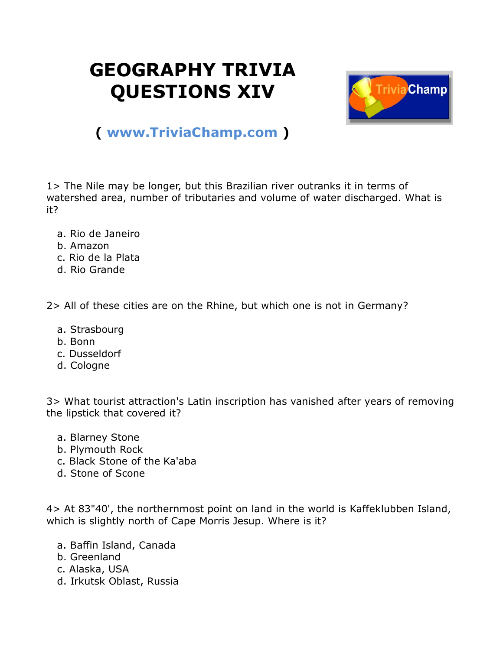## **GEOGRAPHY TRIVIA QUESTIONS XIV**



## **( [www.TriviaChamp.com](http://www.triviachamp.com/) )**

1> The Nile may be longer, but this Brazilian river outranks it in terms of watershed area, number of tributaries and volume of water discharged. What is it?

- a. Rio de Janeiro
- b. Amazon
- c. Rio de la Plata
- d. Rio Grande

2> All of these cities are on the Rhine, but which one is not in Germany?

- a. Strasbourg
- b. Bonn
- c. Dusseldorf
- d. Cologne

3> What tourist attraction's Latin inscription has vanished after years of removing the lipstick that covered it?

- a. Blarney Stone
- b. Plymouth Rock
- c. Black Stone of the Ka'aba
- d. Stone of Scone

4> At 83"40', the northernmost point on land in the world is Kaffeklubben Island, which is slightly north of Cape Morris Jesup. Where is it?

- a. Baffin Island, Canada
- b. Greenland
- c. Alaska, USA
- d. Irkutsk Oblast, Russia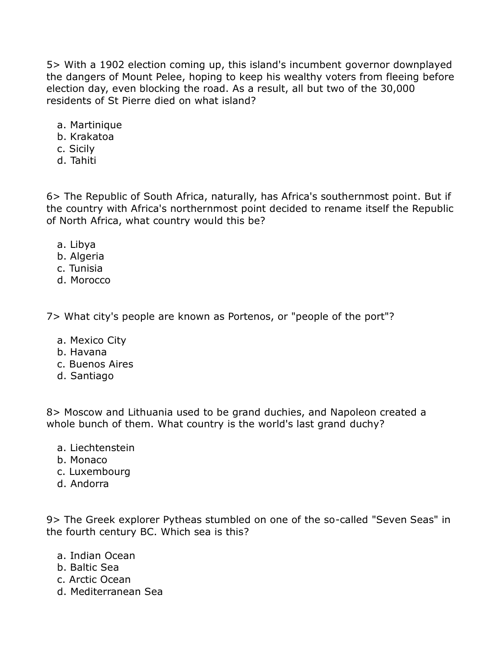5> With a 1902 election coming up, this island's incumbent governor downplayed the dangers of Mount Pelee, hoping to keep his wealthy voters from fleeing before election day, even blocking the road. As a result, all but two of the 30,000 residents of St Pierre died on what island?

- a. Martinique
- b. Krakatoa
- c. Sicily
- d. Tahiti

6> The Republic of South Africa, naturally, has Africa's southernmost point. But if the country with Africa's northernmost point decided to rename itself the Republic of North Africa, what country would this be?

- a. Libya
- b. Algeria
- c. Tunisia
- d. Morocco

7> What city's people are known as Portenos, or "people of the port"?

- a. Mexico City
- b. Havana
- c. Buenos Aires
- d. Santiago

8> Moscow and Lithuania used to be grand duchies, and Napoleon created a whole bunch of them. What country is the world's last grand duchy?

- a. Liechtenstein
- b. Monaco
- c. Luxembourg
- d. Andorra

9> The Greek explorer Pytheas stumbled on one of the so-called "Seven Seas" in the fourth century BC. Which sea is this?

- a. Indian Ocean
- b. Baltic Sea
- c. Arctic Ocean
- d. Mediterranean Sea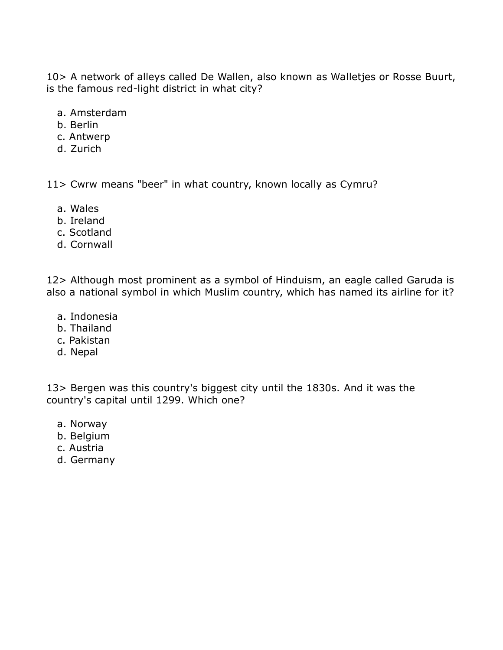10> A network of alleys called De Wallen, also known as Walletjes or Rosse Buurt, is the famous red-light district in what city?

- a. Amsterdam
- b. Berlin
- c. Antwerp
- d. Zurich

11> Cwrw means "beer" in what country, known locally as Cymru?

- a. Wales
- b. Ireland
- c. Scotland
- d. Cornwall

12> Although most prominent as a symbol of Hinduism, an eagle called Garuda is also a national symbol in which Muslim country, which has named its airline for it?

- a. Indonesia
- b. Thailand
- c. Pakistan
- d. Nepal

13> Bergen was this country's biggest city until the 1830s. And it was the country's capital until 1299. Which one?

- a. Norway
- b. Belgium
- c. Austria
- d. Germany